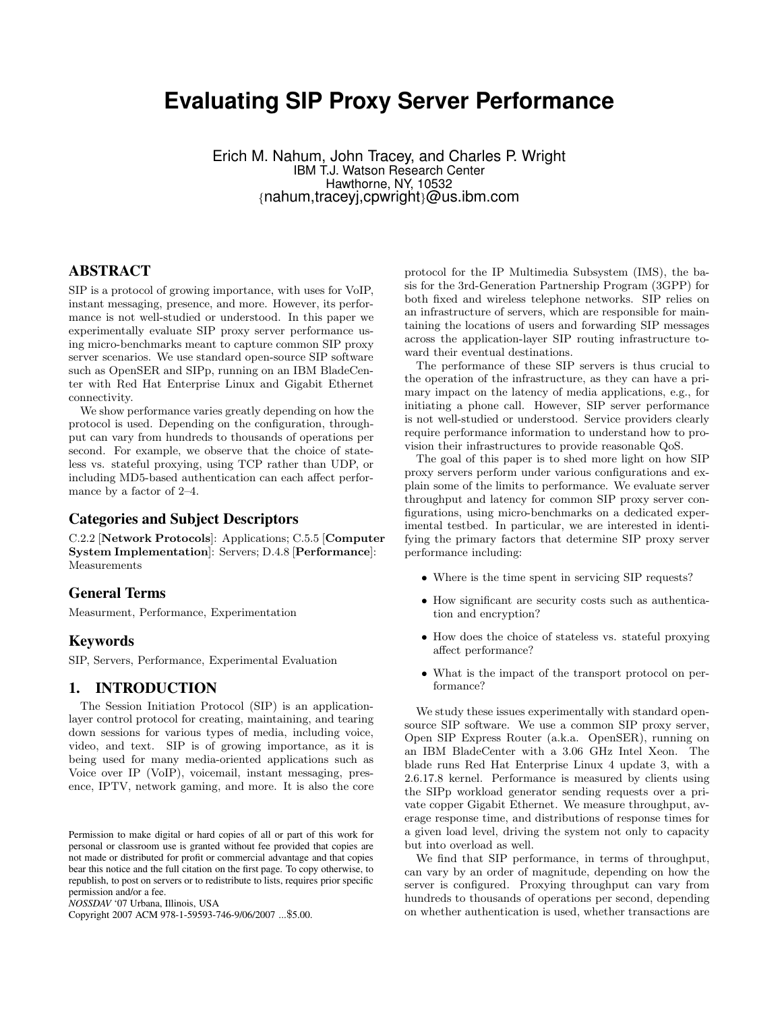# **Evaluating SIP Proxy Server Performance**

Erich M. Nahum, John Tracey, and Charles P. Wright IBM T.J. Watson Research Center Hawthorne, NY, 10532 {nahum,traceyj,cpwright}@us.ibm.com

## **ABSTRACT**

SIP is a protocol of growing importance, with uses for VoIP, instant messaging, presence, and more. However, its performance is not well-studied or understood. In this paper we experimentally evaluate SIP proxy server performance using micro-benchmarks meant to capture common SIP proxy server scenarios. We use standard open-source SIP software such as OpenSER and SIPp, running on an IBM BladeCenter with Red Hat Enterprise Linux and Gigabit Ethernet connectivity.

We show performance varies greatly depending on how the protocol is used. Depending on the configuration, throughput can vary from hundreds to thousands of operations per second. For example, we observe that the choice of stateless vs. stateful proxying, using TCP rather than UDP, or including MD5-based authentication can each affect performance by a factor of 2–4.

#### **Categories and Subject Descriptors**

C.2.2 [Network Protocols]: Applications; C.5.5 [Computer System Implementation]: Servers; D.4.8 [Performance]: Measurements

#### **General Terms**

Measurment, Performance, Experimentation

#### **Keywords**

SIP, Servers, Performance, Experimental Evaluation

#### **1. INTRODUCTION**

The Session Initiation Protocol (SIP) is an applicationlayer control protocol for creating, maintaining, and tearing down sessions for various types of media, including voice, video, and text. SIP is of growing importance, as it is being used for many media-oriented applications such as Voice over IP (VoIP), voicemail, instant messaging, presence, IPTV, network gaming, and more. It is also the core

Copyright 2007 ACM 978-1-59593-746-9/06/2007 ...\$5.00.

protocol for the IP Multimedia Subsystem (IMS), the basis for the 3rd-Generation Partnership Program (3GPP) for both fixed and wireless telephone networks. SIP relies on an infrastructure of servers, which are responsible for maintaining the locations of users and forwarding SIP messages across the application-layer SIP routing infrastructure toward their eventual destinations.

The performance of these SIP servers is thus crucial to the operation of the infrastructure, as they can have a primary impact on the latency of media applications, e.g., for initiating a phone call. However, SIP server performance is not well-studied or understood. Service providers clearly require performance information to understand how to provision their infrastructures to provide reasonable QoS.

The goal of this paper is to shed more light on how SIP proxy servers perform under various configurations and explain some of the limits to performance. We evaluate server throughput and latency for common SIP proxy server configurations, using micro-benchmarks on a dedicated experimental testbed. In particular, we are interested in identifying the primary factors that determine SIP proxy server performance including:

- Where is the time spent in servicing SIP requests?
- How significant are security costs such as authentication and encryption?
- How does the choice of stateless vs. stateful proxying affect performance?
- What is the impact of the transport protocol on performance?

We study these issues experimentally with standard opensource SIP software. We use a common SIP proxy server, Open SIP Express Router (a.k.a. OpenSER), running on an IBM BladeCenter with a 3.06 GHz Intel Xeon. The blade runs Red Hat Enterprise Linux 4 update 3, with a 2.6.17.8 kernel. Performance is measured by clients using the SIPp workload generator sending requests over a private copper Gigabit Ethernet. We measure throughput, average response time, and distributions of response times for a given load level, driving the system not only to capacity but into overload as well.

We find that SIP performance, in terms of throughput, can vary by an order of magnitude, depending on how the server is configured. Proxying throughput can vary from hundreds to thousands of operations per second, depending on whether authentication is used, whether transactions are

Permission to make digital or hard copies of all or part of this work for personal or classroom use is granted without fee provided that copies are not made or distributed for profit or commercial advantage and that copies bear this notice and the full citation on the first page. To copy otherwise, to republish, to post on servers or to redistribute to lists, requires prior specific permission and/or a fee.

*NOSSDAV* '07 Urbana, Illinois, USA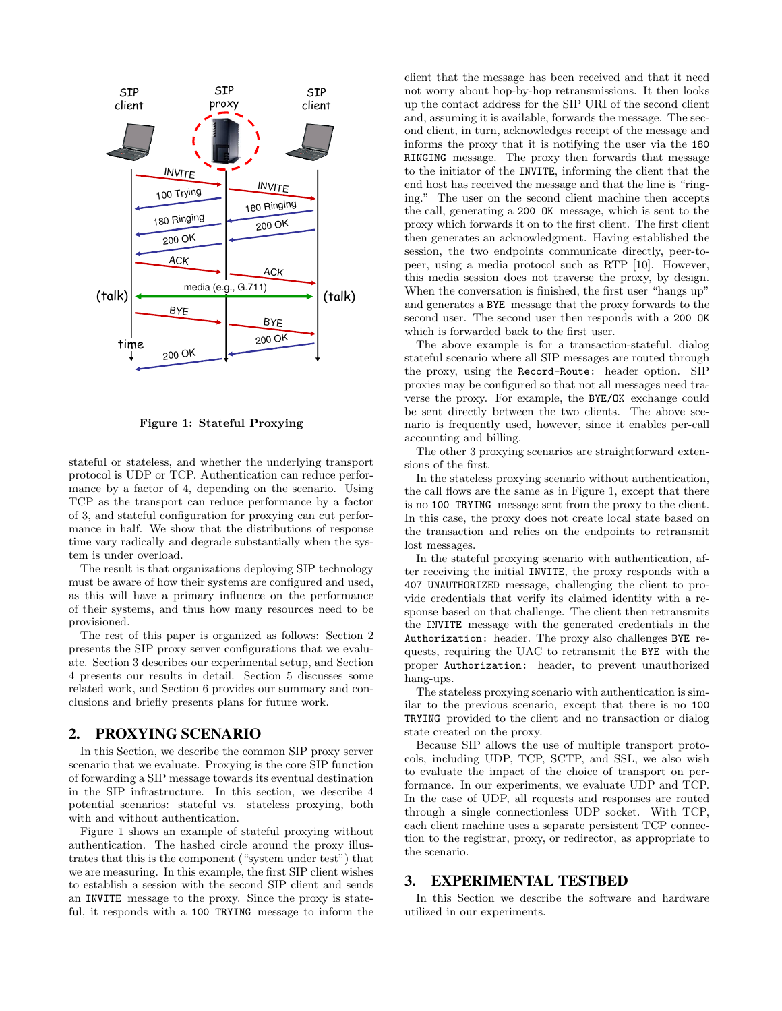

Figure 1: Stateful Proxying

stateful or stateless, and whether the underlying transport protocol is UDP or TCP. Authentication can reduce performance by a factor of 4, depending on the scenario. Using TCP as the transport can reduce performance by a factor of 3, and stateful configuration for proxying can cut performance in half. We show that the distributions of response time vary radically and degrade substantially when the system is under overload.

The result is that organizations deploying SIP technology must be aware of how their systems are configured and used, as this will have a primary influence on the performance of their systems, and thus how many resources need to be provisioned.

The rest of this paper is organized as follows: Section 2 presents the SIP proxy server configurations that we evaluate. Section 3 describes our experimental setup, and Section 4 presents our results in detail. Section 5 discusses some related work, and Section 6 provides our summary and conclusions and briefly presents plans for future work.

#### **2. PROXYING SCENARIO**

In this Section, we describe the common SIP proxy server scenario that we evaluate. Proxying is the core SIP function of forwarding a SIP message towards its eventual destination in the SIP infrastructure. In this section, we describe 4 potential scenarios: stateful vs. stateless proxying, both with and without authentication.

Figure 1 shows an example of stateful proxying without authentication. The hashed circle around the proxy illustrates that this is the component ("system under test") that we are measuring. In this example, the first SIP client wishes to establish a session with the second SIP client and sends an INVITE message to the proxy. Since the proxy is stateful, it responds with a 100 TRYING message to inform the client that the message has been received and that it need not worry about hop-by-hop retransmissions. It then looks up the contact address for the SIP URI of the second client and, assuming it is available, forwards the message. The second client, in turn, acknowledges receipt of the message and informs the proxy that it is notifying the user via the 180 RINGING message. The proxy then forwards that message to the initiator of the INVITE, informing the client that the end host has received the message and that the line is "ringing." The user on the second client machine then accepts the call, generating a 200 OK message, which is sent to the proxy which forwards it on to the first client. The first client then generates an acknowledgment. Having established the session, the two endpoints communicate directly, peer-topeer, using a media protocol such as RTP [10]. However, this media session does not traverse the proxy, by design. When the conversation is finished, the first user "hangs up" and generates a BYE message that the proxy forwards to the second user. The second user then responds with a 200 OK which is forwarded back to the first user.

The above example is for a transaction-stateful, dialog stateful scenario where all SIP messages are routed through the proxy, using the Record-Route: header option. SIP proxies may be configured so that not all messages need traverse the proxy. For example, the BYE/OK exchange could be sent directly between the two clients. The above scenario is frequently used, however, since it enables per-call accounting and billing.

The other 3 proxying scenarios are straightforward extensions of the first.

In the stateless proxying scenario without authentication, the call flows are the same as in Figure 1, except that there is no 100 TRYING message sent from the proxy to the client. In this case, the proxy does not create local state based on the transaction and relies on the endpoints to retransmit lost messages.

In the stateful proxying scenario with authentication, after receiving the initial INVITE, the proxy responds with a 407 UNAUTHORIZED message, challenging the client to provide credentials that verify its claimed identity with a response based on that challenge. The client then retransmits the INVITE message with the generated credentials in the Authorization: header. The proxy also challenges BYE requests, requiring the UAC to retransmit the BYE with the proper Authorization: header, to prevent unauthorized hang-ups.

The stateless proxying scenario with authentication is similar to the previous scenario, except that there is no 100 TRYING provided to the client and no transaction or dialog state created on the proxy.

Because SIP allows the use of multiple transport protocols, including UDP, TCP, SCTP, and SSL, we also wish to evaluate the impact of the choice of transport on performance. In our experiments, we evaluate UDP and TCP. In the case of UDP, all requests and responses are routed through a single connectionless UDP socket. With TCP, each client machine uses a separate persistent TCP connection to the registrar, proxy, or redirector, as appropriate to the scenario.

### **3. EXPERIMENTAL TESTBED**

In this Section we describe the software and hardware utilized in our experiments.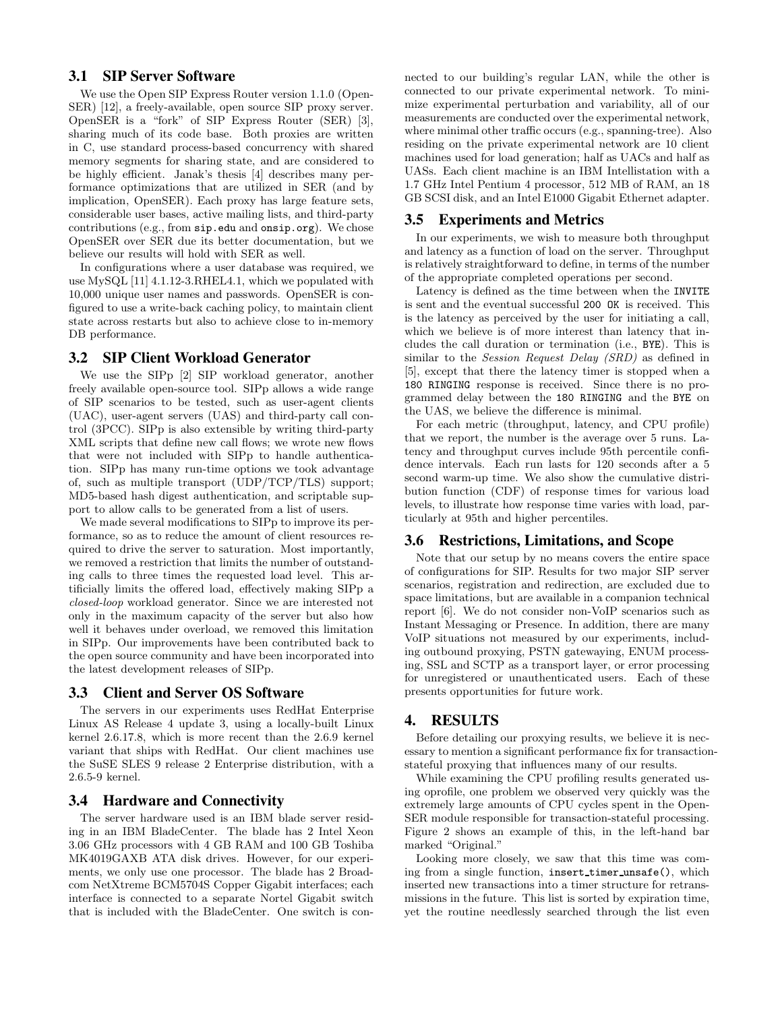#### **3.1 SIP Server Software**

We use the Open SIP Express Router version 1.1.0 (Open-SER) [12], a freely-available, open source SIP proxy server. OpenSER is a "fork" of SIP Express Router (SER) [3], sharing much of its code base. Both proxies are written in C, use standard process-based concurrency with shared memory segments for sharing state, and are considered to be highly efficient. Janak's thesis [4] describes many performance optimizations that are utilized in SER (and by implication, OpenSER). Each proxy has large feature sets, considerable user bases, active mailing lists, and third-party contributions (e.g., from sip.edu and onsip.org). We chose OpenSER over SER due its better documentation, but we believe our results will hold with SER as well.

In configurations where a user database was required, we use MySQL [11] 4.1.12-3.RHEL4.1, which we populated with 10,000 unique user names and passwords. OpenSER is configured to use a write-back caching policy, to maintain client state across restarts but also to achieve close to in-memory DB performance.

#### **3.2 SIP Client Workload Generator**

We use the SIPp [2] SIP workload generator, another freely available open-source tool. SIPp allows a wide range of SIP scenarios to be tested, such as user-agent clients (UAC), user-agent servers (UAS) and third-party call control (3PCC). SIPp is also extensible by writing third-party XML scripts that define new call flows; we wrote new flows that were not included with SIPp to handle authentication. SIPp has many run-time options we took advantage of, such as multiple transport (UDP/TCP/TLS) support; MD5-based hash digest authentication, and scriptable support to allow calls to be generated from a list of users.

We made several modifications to SIPp to improve its performance, so as to reduce the amount of client resources required to drive the server to saturation. Most importantly, we removed a restriction that limits the number of outstanding calls to three times the requested load level. This artificially limits the offered load, effectively making SIPp a closed-loop workload generator. Since we are interested not only in the maximum capacity of the server but also how well it behaves under overload, we removed this limitation in SIPp. Our improvements have been contributed back to the open source community and have been incorporated into the latest development releases of SIPp.

#### **3.3 Client and Server OS Software**

The servers in our experiments uses RedHat Enterprise Linux AS Release 4 update 3, using a locally-built Linux kernel 2.6.17.8, which is more recent than the 2.6.9 kernel variant that ships with RedHat. Our client machines use the SuSE SLES 9 release 2 Enterprise distribution, with a 2.6.5-9 kernel.

#### **3.4 Hardware and Connectivity**

The server hardware used is an IBM blade server residing in an IBM BladeCenter. The blade has 2 Intel Xeon 3.06 GHz processors with 4 GB RAM and 100 GB Toshiba MK4019GAXB ATA disk drives. However, for our experiments, we only use one processor. The blade has 2 Broadcom NetXtreme BCM5704S Copper Gigabit interfaces; each interface is connected to a separate Nortel Gigabit switch that is included with the BladeCenter. One switch is connected to our building's regular LAN, while the other is connected to our private experimental network. To minimize experimental perturbation and variability, all of our measurements are conducted over the experimental network, where minimal other traffic occurs (e.g., spanning-tree). Also residing on the private experimental network are 10 client machines used for load generation; half as UACs and half as UASs. Each client machine is an IBM Intellistation with a 1.7 GHz Intel Pentium 4 processor, 512 MB of RAM, an 18 GB SCSI disk, and an Intel E1000 Gigabit Ethernet adapter.

#### **3.5 Experiments and Metrics**

In our experiments, we wish to measure both throughput and latency as a function of load on the server. Throughput is relatively straightforward to define, in terms of the number of the appropriate completed operations per second.

Latency is defined as the time between when the INVITE is sent and the eventual successful 200 OK is received. This is the latency as perceived by the user for initiating a call, which we believe is of more interest than latency that includes the call duration or termination (i.e., BYE). This is similar to the Session Request Delay (SRD) as defined in [5], except that there the latency timer is stopped when a 180 RINGING response is received. Since there is no programmed delay between the 180 RINGING and the BYE on the UAS, we believe the difference is minimal.

For each metric (throughput, latency, and CPU profile) that we report, the number is the average over 5 runs. Latency and throughput curves include 95th percentile confidence intervals. Each run lasts for 120 seconds after a 5 second warm-up time. We also show the cumulative distribution function (CDF) of response times for various load levels, to illustrate how response time varies with load, particularly at 95th and higher percentiles.

#### **3.6 Restrictions, Limitations, and Scope**

Note that our setup by no means covers the entire space of configurations for SIP. Results for two major SIP server scenarios, registration and redirection, are excluded due to space limitations, but are available in a companion technical report [6]. We do not consider non-VoIP scenarios such as Instant Messaging or Presence. In addition, there are many VoIP situations not measured by our experiments, including outbound proxying, PSTN gatewaying, ENUM processing, SSL and SCTP as a transport layer, or error processing for unregistered or unauthenticated users. Each of these presents opportunities for future work.

#### **4. RESULTS**

Before detailing our proxying results, we believe it is necessary to mention a significant performance fix for transactionstateful proxying that influences many of our results.

While examining the CPU profiling results generated using oprofile, one problem we observed very quickly was the extremely large amounts of CPU cycles spent in the Open-SER module responsible for transaction-stateful processing. Figure 2 shows an example of this, in the left-hand bar marked "Original."

Looking more closely, we saw that this time was coming from a single function, insert timer unsafe(), which inserted new transactions into a timer structure for retransmissions in the future. This list is sorted by expiration time, yet the routine needlessly searched through the list even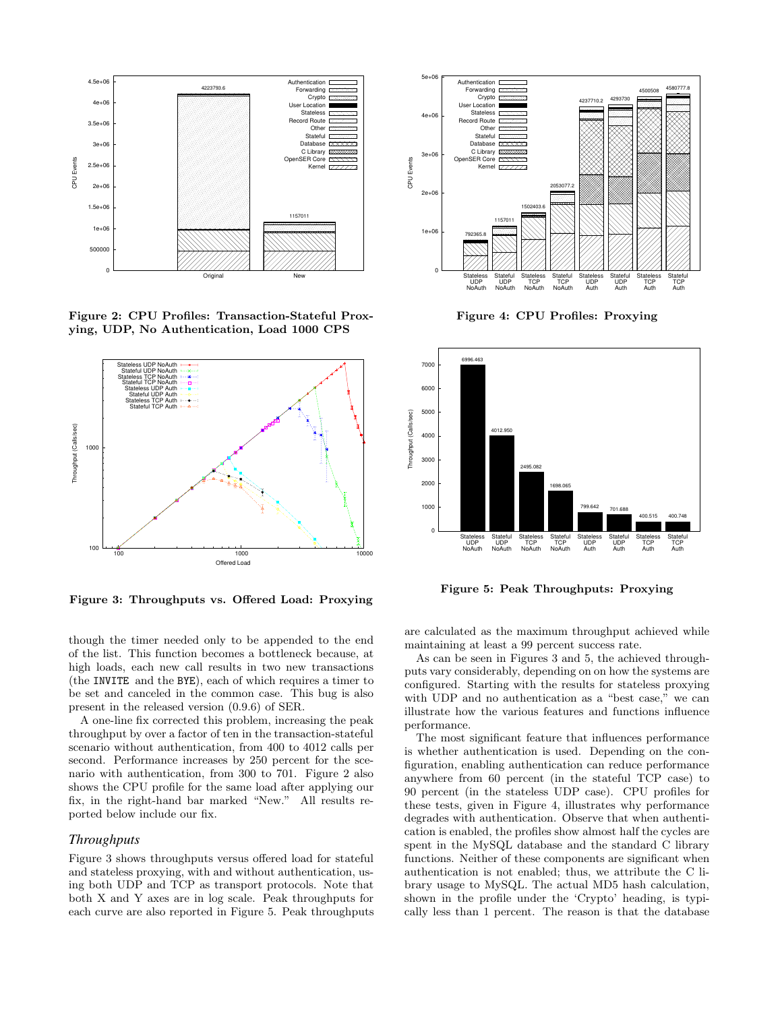

Figure 2: CPU Profiles: Transaction-Stateful Proxying, UDP, No Authentication, Load 1000 CPS



Figure 3: Throughputs vs. Offered Load: Proxying

though the timer needed only to be appended to the end of the list. This function becomes a bottleneck because, at high loads, each new call results in two new transactions (the INVITE and the BYE), each of which requires a timer to be set and canceled in the common case. This bug is also present in the released version (0.9.6) of SER.

A one-line fix corrected this problem, increasing the peak throughput by over a factor of ten in the transaction-stateful scenario without authentication, from 400 to 4012 calls per second. Performance increases by 250 percent for the scenario with authentication, from 300 to 701. Figure 2 also shows the CPU profile for the same load after applying our fix, in the right-hand bar marked "New." All results reported below include our fix.

#### *Throughputs*

Figure 3 shows throughputs versus offered load for stateful and stateless proxying, with and without authentication, using both UDP and TCP as transport protocols. Note that both X and Y axes are in log scale. Peak throughputs for each curve are also reported in Figure 5. Peak throughputs



Figure 4: CPU Profiles: Proxying



Figure 5: Peak Throughputs: Proxying

are calculated as the maximum throughput achieved while maintaining at least a 99 percent success rate.

As can be seen in Figures 3 and 5, the achieved throughputs vary considerably, depending on on how the systems are configured. Starting with the results for stateless proxying with UDP and no authentication as a "best case." we can illustrate how the various features and functions influence performance.

The most significant feature that influences performance is whether authentication is used. Depending on the configuration, enabling authentication can reduce performance anywhere from 60 percent (in the stateful TCP case) to 90 percent (in the stateless UDP case). CPU profiles for these tests, given in Figure 4, illustrates why performance degrades with authentication. Observe that when authentication is enabled, the profiles show almost half the cycles are spent in the MySQL database and the standard C library functions. Neither of these components are significant when authentication is not enabled; thus, we attribute the C library usage to MySQL. The actual MD5 hash calculation, shown in the profile under the 'Crypto' heading, is typically less than 1 percent. The reason is that the database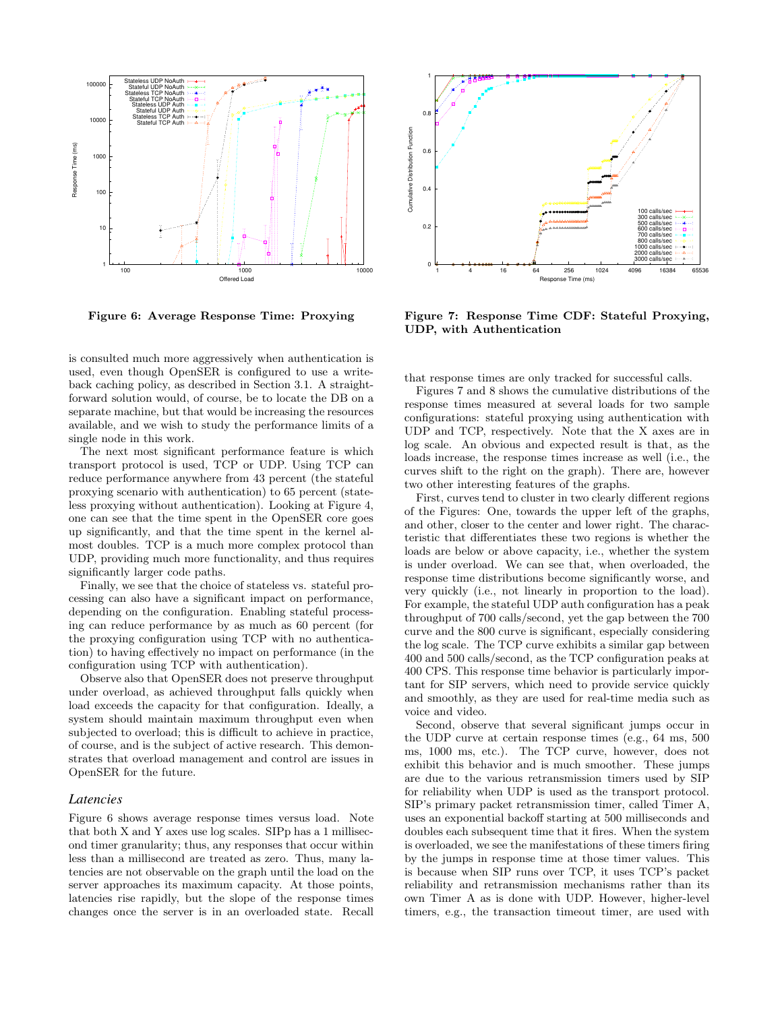

Figure 6: Average Response Time: Proxying

is consulted much more aggressively when authentication is used, even though OpenSER is configured to use a writeback caching policy, as described in Section 3.1. A straightforward solution would, of course, be to locate the DB on a separate machine, but that would be increasing the resources available, and we wish to study the performance limits of a single node in this work.

The next most significant performance feature is which transport protocol is used, TCP or UDP. Using TCP can reduce performance anywhere from 43 percent (the stateful proxying scenario with authentication) to 65 percent (stateless proxying without authentication). Looking at Figure 4, one can see that the time spent in the OpenSER core goes up significantly, and that the time spent in the kernel almost doubles. TCP is a much more complex protocol than UDP, providing much more functionality, and thus requires significantly larger code paths.

Finally, we see that the choice of stateless vs. stateful processing can also have a significant impact on performance, depending on the configuration. Enabling stateful processing can reduce performance by as much as 60 percent (for the proxying configuration using TCP with no authentication) to having effectively no impact on performance (in the configuration using TCP with authentication).

Observe also that OpenSER does not preserve throughput under overload, as achieved throughput falls quickly when load exceeds the capacity for that configuration. Ideally, a system should maintain maximum throughput even when subjected to overload; this is difficult to achieve in practice, of course, and is the subject of active research. This demonstrates that overload management and control are issues in OpenSER for the future.

#### *Latencies*

Figure 6 shows average response times versus load. Note that both X and Y axes use log scales. SIPp has a 1 millisecond timer granularity; thus, any responses that occur within less than a millisecond are treated as zero. Thus, many latencies are not observable on the graph until the load on the server approaches its maximum capacity. At those points, latencies rise rapidly, but the slope of the response times changes once the server is in an overloaded state. Recall



Figure 7: Response Time CDF: Stateful Proxying, UDP, with Authentication

that response times are only tracked for successful calls.

Figures 7 and 8 shows the cumulative distributions of the response times measured at several loads for two sample configurations: stateful proxying using authentication with UDP and TCP, respectively. Note that the X axes are in log scale. An obvious and expected result is that, as the loads increase, the response times increase as well (i.e., the curves shift to the right on the graph). There are, however two other interesting features of the graphs.

First, curves tend to cluster in two clearly different regions of the Figures: One, towards the upper left of the graphs, and other, closer to the center and lower right. The characteristic that differentiates these two regions is whether the loads are below or above capacity, i.e., whether the system is under overload. We can see that, when overloaded, the response time distributions become significantly worse, and very quickly (i.e., not linearly in proportion to the load). For example, the stateful UDP auth configuration has a peak throughput of 700 calls/second, yet the gap between the 700 curve and the 800 curve is significant, especially considering the log scale. The TCP curve exhibits a similar gap between 400 and 500 calls/second, as the TCP configuration peaks at 400 CPS. This response time behavior is particularly important for SIP servers, which need to provide service quickly and smoothly, as they are used for real-time media such as voice and video.

Second, observe that several significant jumps occur in the UDP curve at certain response times (e.g., 64 ms, 500 ms, 1000 ms, etc.). The TCP curve, however, does not exhibit this behavior and is much smoother. These jumps are due to the various retransmission timers used by SIP for reliability when UDP is used as the transport protocol. SIP's primary packet retransmission timer, called Timer A, uses an exponential backoff starting at 500 milliseconds and doubles each subsequent time that it fires. When the system is overloaded, we see the manifestations of these timers firing by the jumps in response time at those timer values. This is because when SIP runs over TCP, it uses TCP's packet reliability and retransmission mechanisms rather than its own Timer A as is done with UDP. However, higher-level timers, e.g., the transaction timeout timer, are used with